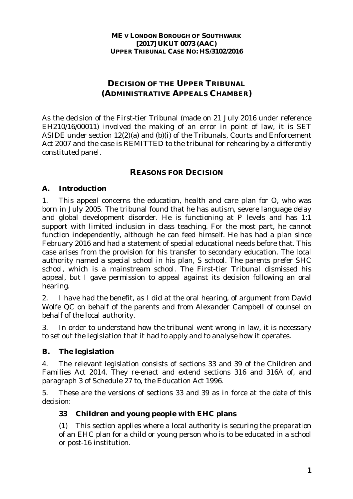# **DECISION OF THE UPPER TRIBUNAL (ADMINISTRATIVE APPEALS CHAMBER)**

As the decision of the First-tier Tribunal (made on 21 July 2016 under reference EH210/16/00011) involved the making of an error in point of law, it is SET ASIDE under section 12(2)(a) and (b)(i) of the Tribunals, Courts and Enforcement Act 2007 and the case is REMITTED to the tribunal for rehearing by a differently constituted panel.

## **REASONS FOR DECISION**

## **A. Introduction**

1. This appeal concerns the education, health and care plan for O, who was born in July 2005. The tribunal found that he has autism, severe language delay and global development disorder. He is functioning at P levels and has 1:1 support with limited inclusion in class teaching. For the most part, he cannot function independently, although he can feed himself. He has had a plan since February 2016 and had a statement of special educational needs before that. This case arises from the provision for his transfer to secondary education. The local authority named a special school in his plan, S school. The parents prefer SHC school, which is a mainstream school. The First-tier Tribunal dismissed his appeal, but I gave permission to appeal against its decision following an oral hearing.

2. I have had the benefit, as I did at the oral hearing, of argument from David Wolfe QC on behalf of the parents and from Alexander Campbell of counsel on behalf of the local authority.

3. In order to understand how the tribunal went wrong in law, it is necessary to set out the legislation that it had to apply and to analyse how it operates.

### **B. The legislation**

4. The relevant legislation consists of sections 33 and 39 of the Children and Families Act 2014. They re-enact and extend sections 316 and 316A of, and paragraph 3 of Schedule 27 to, the Education Act 1996.

5. These are the versions of sections 33 and 39 as in force at the date of this decision:

## **33 Children and young people with EHC plans**

(1) This section applies where a local authority is securing the preparation of an EHC plan for a child or young person who is to be educated in a school or post-16 institution.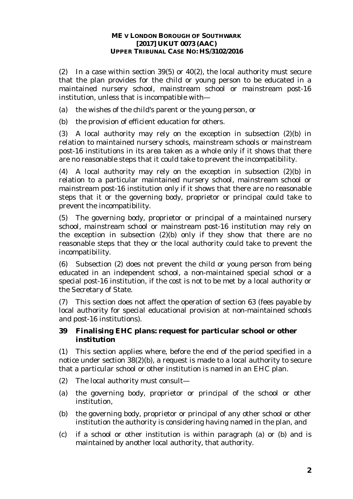(2) In a case within section 39(5) or 40(2), the local authority must secure that the plan provides for the child or young person to be educated in a maintained nursery school, mainstream school or mainstream post-16 institution, unless that is incompatible with—

(a) the wishes of the child's parent or the young person, or

(b) the provision of efficient education for others.

(3) A local authority may rely on the exception in subsection (2)(b) in relation to maintained nursery schools, mainstream schools or mainstream post-16 institutions in its area taken as a whole only if it shows that there are no reasonable steps that it could take to prevent the incompatibility.

(4) A local authority may rely on the exception in subsection (2)(b) in relation to a particular maintained nursery school, mainstream school or mainstream post-16 institution only if it shows that there are no reasonable steps that it or the governing body, proprietor or principal could take to prevent the incompatibility.

(5) The governing body, proprietor or principal of a maintained nursery school, mainstream school or mainstream post-16 institution may rely on the exception in subsection (2)(b) only if they show that there are no reasonable steps that they or the local authority could take to prevent the incompatibility.

(6) Subsection (2) does not prevent the child or young person from being educated in an independent school, a non-maintained special school or a special post-16 institution, if the cost is not to be met by a local authority or the Secretary of State.

(7) This section does not affect the operation of section 63 (fees payable by local authority for special educational provision at non-maintained schools and post-16 institutions).

### **39 Finalising EHC plans: request for particular school or other institution**

(1) This section applies where, before the end of the period specified in a notice under section 38(2)(b), a request is made to a local authority to secure that a particular school or other institution is named in an EHC plan.

- (2) The local authority must consult—
- (a) the governing body, proprietor or principal of the school or other institution,
- (b) the governing body, proprietor or principal of any other school or other institution the authority is considering having named in the plan, and
- (c) if a school or other institution is within paragraph (a) or (b) and is maintained by another local authority, that authority.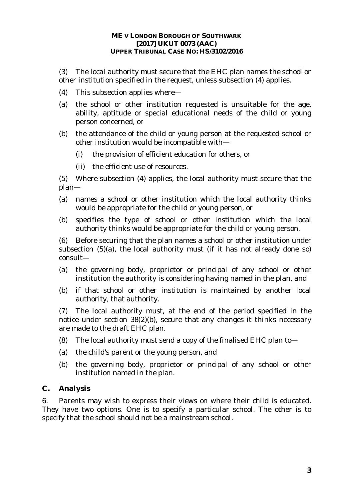(3) The local authority must secure that the EHC plan names the school or other institution specified in the request, unless subsection (4) applies.

- (4) This subsection applies where—
- (a) the school or other institution requested is unsuitable for the age, ability, aptitude or special educational needs of the child or young person concerned, or
- (b) the attendance of the child or young person at the requested school or other institution would be incompatible with—
	- (i) the provision of efficient education for others, or
	- (ii) the efficient use of resources.

(5) Where subsection (4) applies, the local authority must secure that the plan—

- (a) names a school or other institution which the local authority thinks would be appropriate for the child or young person, or
- (b) specifies the type of school or other institution which the local authority thinks would be appropriate for the child or young person.

(6) Before securing that the plan names a school or other institution under subsection (5)(a), the local authority must (if it has not already done so) consult—

- (a) the governing body, proprietor or principal of any school or other institution the authority is considering having named in the plan, and
- (b) if that school or other institution is maintained by another local authority, that authority.

(7) The local authority must, at the end of the period specified in the notice under section 38(2)(b), secure that any changes it thinks necessary are made to the draft EHC plan.

- (8) The local authority must send a copy of the finalised EHC plan to—
- (a) the child's parent or the young person, and
- (b) the governing body, proprietor or principal of any school or other institution named in the plan.

### **C. Analysis**

6. Parents may wish to express their views on where their child is educated. They have two options. One is to specify a particular school. The other is to specify that the school should not be a mainstream school.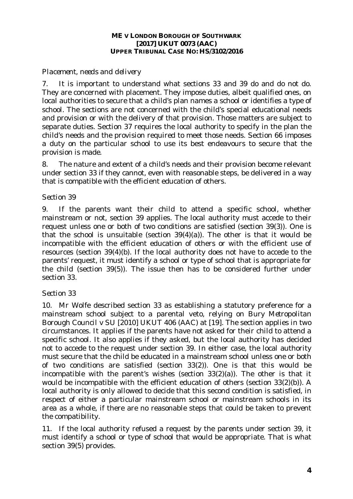## *Placement, needs and delivery*

7. It is important to understand what sections 33 and 39 do and do not do. They are concerned with placement. They impose duties, albeit qualified ones, on local authorities to secure that a child's plan names a school or identifies a type of school. The sections are not concerned with the child's special educational needs and provision or with the delivery of that provision. Those matters are subject to separate duties. Section 37 requires the local authority to specify in the plan the child's needs and the provision required to meet those needs. Section 66 imposes a duty on the particular school to use its best endeavours to secure that the provision is made.

8. The nature and extent of a child's needs and their provision become relevant under section 33 if they cannot, even with reasonable steps, be delivered in a way that is compatible with the efficient education of others.

## *Section 39*

9. If the parents want their child to attend a specific school, whether mainstream or not, section 39 applies. The local authority must accede to their request unless one or both of two conditions are satisfied (section 39(3)). One is that the school is unsuitable (section 39(4)(a)). The other is that it would be incompatible with the efficient education of others or with the efficient use of resources (section 39(4)(b). If the local authority does not have to accede to the parents' request, it must identify a school or type of school that is appropriate for the child (section 39(5)). The issue then has to be considered further under section 33.

## *Section 33*

10. Mr Wolfe described section 33 as establishing a statutory preference for a mainstream school subject to a parental veto, relying on *Bury Metropolitan Borough Council v SU* [2010] UKUT 406 (AAC) at [19]. The section applies in two circumstances. It applies if the parents have not asked for their child to attend a specific school. It also applies if they asked, but the local authority has decided not to accede to the request under section 39. In either case, the local authority must secure that the child be educated in a mainstream school unless one or both of two conditions are satisfied (section 33(2)). One is that this would be incompatible with the parent's wishes (section 33(2)(a)). The other is that it would be incompatible with the efficient education of others (section 33(2)(b)). A local authority is only allowed to decide that this second condition is satisfied, in respect of either a particular mainstream school or mainstream schools in its area as a whole, if there are no reasonable steps that could be taken to prevent the compatibility.

11. If the local authority refused a request by the parents under section 39, it must identify a school or type of school that would be appropriate. That is what section 39(5) provides.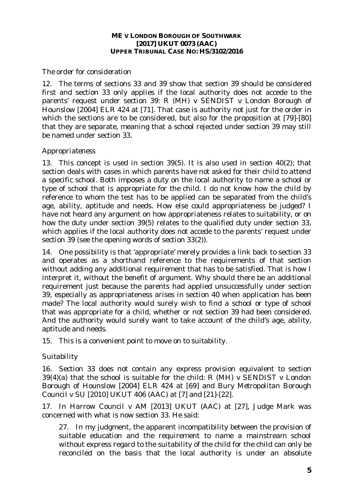### *The order for consideration*

12. The terms of sections 33 and 39 show that section 39 should be considered first and section 33 only applies if the local authority does not accede to the parents' request under section 39: *R (MH) v SENDIST v London Borough of Hounslow* [2004] ELR 424 at [71]. That case is authority not just for the order in which the sections are to be considered, but also for the proposition at [79]-[80] that they are separate, meaning that a school rejected under section 39 may still be named under section 33.

## *Appropriateness*

13. This concept is used in section 39(5). It is also used in section 40(2); that section deals with cases in which parents have not asked for their child to attend a specific school. Both imposes a duty on the local authority to name a school or type of school that is appropriate for *the* child. I do not know how the child by reference to whom the test has to be applied can be separated from the child's age, ability, aptitude and needs. How else could appropriateness be judged? I have not heard any argument on how appropriateness relates to suitability, or on how the duty under section 39(5) relates to the qualified duty under section 33, which applies if the local authority does not accede to the parents' request under section 39 (see the opening words of section 33(2)).

14. One possibility is that 'appropriate' merely provides a link back to section 33 and operates as a shorthand reference to the requirements of that section without adding any additional requirement that has to be satisfied. That is how I interpret it, without the benefit of argument. Why should there be an additional requirement just because the parents had applied unsuccessfully under section 39, especially as appropriateness arises in section 40 when application has been made? The local authority would surely wish to find a school or type of school that was appropriate for a child, whether or not section 39 had been considered. And the authority would surely want to take account of the child's age, ability, aptitude and needs.

15. This is a convenient point to move on to suitability.

## *Suitability*

16. Section 33 does not contain any express provision equivalent to section 39(4)(a) that the school is suitable for the child: *R (MH) v SENDIST v London Borough of Hounslow* [2004] ELR 424 at [69] and *Bury Metropolitan Borough Council v SU* [2010] UKUT 406 (AAC) at [7] and [21]-[22].

17. In *Harrow Council v AM* [2013] UKUT (AAC) at [27], Judge Mark was concerned with what is now section 33. He said:

27. In my judgment, the apparent incompatibility between the provision of suitable education and the requirement to name a mainstream school without express regard to the suitability of the child for the child can only be reconciled on the basis that the local authority is under an absolute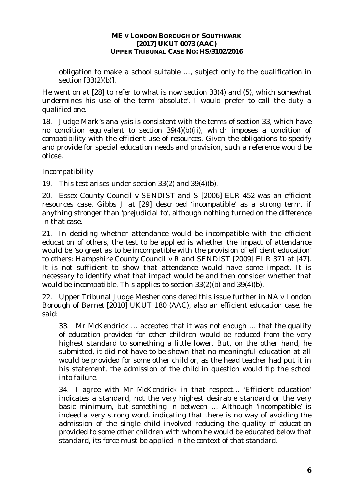obligation to make a school suitable …, subject only to the qualification in section [33(2)(b)].

He went on at [28] to refer to what is now section 33(4) and (5), which somewhat undermines his use of the term 'absolute'. I would prefer to call the duty a qualified one.

18. Judge Mark's analysis is consistent with the terms of section 33, which have no condition equivalent to section 39(4)(b)(ii), which imposes a condition of compatibility with the efficient use of resources. Given the obligations to specify and provide for special education needs and provision, such a reference would be otiose.

## *Incompatibility*

19. This test arises under section 33(2) and 39(4)(b).

20. *Essex County Council v SENDIST and S* [2006] ELR 452 was an efficient resources case. Gibbs J at [29] described 'incompatible' as a strong term, if anything stronger than 'prejudicial to', although nothing turned on the difference in that case.

21. In deciding whether attendance would be incompatible with the efficient education of others, the test to be applied is whether the impact of attendance would be 'so great as to be incompatible with the provision of efficient education' to others: *Hampshire County Council v R and SENDIST* [2009] ELR 371 at [47]. It is not sufficient to show that attendance would have some impact. It is necessary to identify what that impact would be and then consider whether that would be incompatible. This applies to section 33(2)(b) and 39(4)(b).

22. Upper Tribunal Judge Mesher considered this issue further in *NA v London Borough of Barnet* [2010] UKUT 180 (AAC), also an efficient education case. he said:

33. Mr McKendrick … accepted that it was not enough … that the quality of education provided for other children would be reduced from the very highest standard to something a little lower. But, on the other hand, he submitted, it did not have to be shown that no meaningful education at all would be provided for some other child or, as the head teacher had put it in his statement, the admission of the child in question would tip the school into failure.

34. I agree with Mr McKendrick in that respect… 'Efficient education' indicates a standard, not the very highest desirable standard or the very basic minimum, but something in between … Although 'incompatible' is indeed a very strong word, indicating that there is no way of avoiding the admission of the single child involved reducing the quality of education provided to some other children with whom he would be educated below that standard, its force must be applied in the context of that standard.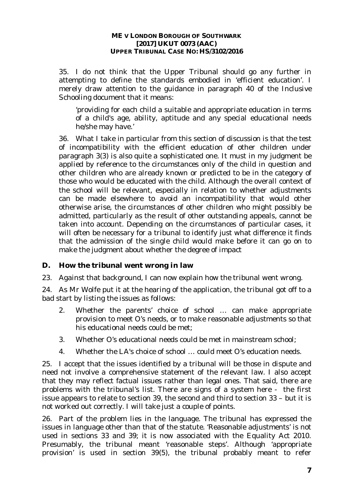35. I do not think that the Upper Tribunal should go any further in attempting to define the standards embodied in 'efficient education'. I merely draw attention to the guidance in paragraph 40 of the *Inclusive Schooling* document that it means:

'providing for each child a suitable and appropriate education in terms of a child's age, ability, aptitude and any special educational needs he/she may have.'

36. What I take in particular from this section of discussion is that the test of incompatibility with the efficient education of other children under paragraph 3(3) is also quite a sophisticated one. It must in my judgment be applied by reference to the circumstances only of the child in question and other children who are already known or predicted to be in the category of those who would be educated with the child. Although the overall context of the school will be relevant, especially in relation to whether adjustments can be made elsewhere to avoid an incompatibility that would other otherwise arise, the circumstances of other children who might possibly be admitted, particularly as the result of other outstanding appeals, cannot be taken into account. Depending on the circumstances of particular cases, it will often be necessary for a tribunal to identify just what difference it finds that the admission of the single child would make before it can go on to make the judgment about whether the degree of impact

### **D. How the tribunal went wrong in law**

23. Against that background, I can now explain how the tribunal went wrong.

24. As Mr Wolfe put it at the hearing of the application, the tribunal got off to a bad start by listing the issues as follows:

- 2. Whether the parents' choice of school … can make appropriate provision to meet O's needs, or to make reasonable adjustments so that his educational needs could be met;
- 3. Whether O's educational needs could be met in mainstream school;
- 4. Whether the LA's choice of school … could meet O's education needs.

25. I accept that the issues identified by a tribunal will be those in dispute and need not involve a comprehensive statement of the relevant law. I also accept that they may reflect factual issues rather than legal ones. That said, there are problems with the tribunal's list. There are signs of a system here - the first issue appears to relate to section 39, the second and third to section 33 – but it is not worked out correctly. I will take just a couple of points.

26. Part of the problem lies in the language. The tribunal has expressed the issues in language other than that of the statute. 'Reasonable adjustments' is not used in sections 33 and 39; it is now associated with the Equality Act 2010. Presumably, the tribunal meant 'reasonable steps'. Although 'appropriate provision' is used in section 39(5), the tribunal probably meant to refer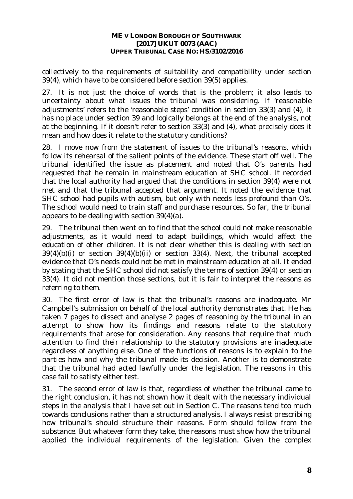collectively to the requirements of suitability and compatibility under section 39(4), which have to be considered before section 39(5) applies.

27. It is not just the choice of words that is the problem; it also leads to uncertainty about what issues the tribunal was considering. If 'reasonable adjustments' refers to the 'reasonable steps' condition in section 33(3) and (4), it has no place under section 39 and logically belongs at the end of the analysis, not at the beginning. If it doesn't refer to section 33(3) and (4), what precisely does it mean and how does it relate to the statutory conditions?

28. I move now from the statement of issues to the tribunal's reasons, which follow its rehearsal of the salient points of the evidence. These start off well. The tribunal identified the issue as placement and noted that O's parents had requested that he remain in mainstream education at SHC school. It recorded that the local authority had argued that the conditions in section 39(4) were not met and that the tribunal accepted that argument. It noted the evidence that SHC school had pupils with autism, but only with needs less profound than O's. The school would need to train staff and purchase resources. So far, the tribunal appears to be dealing with section 39(4)(a).

29. The tribunal then went on to find that the school could not make reasonable adjustments, as it would need to adapt buildings, which would affect the education of other children. It is not clear whether this is dealing with section 39(4)(b)(i) or section 39(4)(b)(ii) or section 33(4). Next, the tribunal accepted evidence that O's needs could not be met in mainstream education at all. It ended by stating that the SHC school did not satisfy the terms of section 39(4) or section 33(4). It did not mention those sections, but it is fair to interpret the reasons as referring to them.

30. The first error of law is that the tribunal's reasons are inadequate. Mr Campbell's submission on behalf of the local authority demonstrates that. He has taken 7 pages to dissect and analyse 2 pages of reasoning by the tribunal in an attempt to show how its findings and reasons relate to the statutory requirements that arose for consideration. Any reasons that require that much attention to find their relationship to the statutory provisions are inadequate regardless of anything else. One of the functions of reasons is to explain to the parties how and why the tribunal made its decision. Another is to demonstrate that the tribunal had acted lawfully under the legislation. The reasons in this case fail to satisfy either test.

31. The second error of law is that, regardless of whether the tribunal came to the right conclusion, it has not shown how it dealt with the necessary individual steps in the analysis that I have set out in Section C. The reasons tend too much towards conclusions rather than a structured analysis. I always resist prescribing how tribunal's should structure their reasons. Form should follow from the substance. But whatever form they take, the reasons must show how the tribunal applied the individual requirements of the legislation. Given the complex